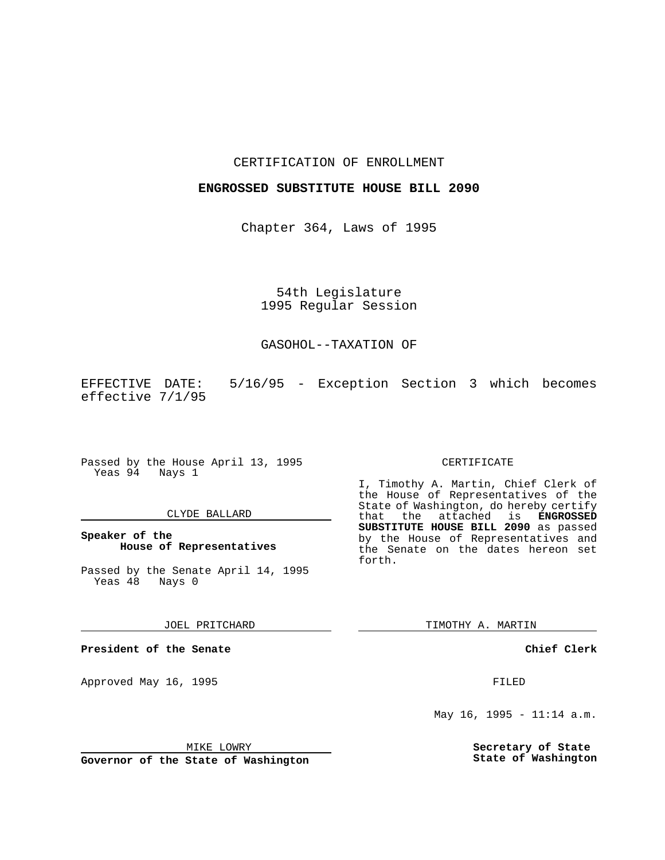## CERTIFICATION OF ENROLLMENT

# **ENGROSSED SUBSTITUTE HOUSE BILL 2090**

Chapter 364, Laws of 1995

54th Legislature 1995 Regular Session

#### GASOHOL--TAXATION OF

EFFECTIVE DATE: 5/16/95 - Exception Section 3 which becomes effective 7/1/95

Passed by the House April 13, 1995 Yeas 94 Nays 1

#### CLYDE BALLARD

**Speaker of the House of Representatives**

Passed by the Senate April 14, 1995<br>Yeas 48 Nays 0 Yeas 48

JOEL PRITCHARD

**President of the Senate**

Approved May 16, 1995 **FILED** 

MIKE LOWRY

**Governor of the State of Washington**

#### CERTIFICATE

I, Timothy A. Martin, Chief Clerk of the House of Representatives of the State of Washington, do hereby certify<br>that the attached is **ENGROSSED** the attached is **ENGROSSED SUBSTITUTE HOUSE BILL 2090** as passed by the House of Representatives and the Senate on the dates hereon set forth.

TIMOTHY A. MARTIN

**Chief Clerk**

May 16, 1995 - 11:14 a.m.

**Secretary of State State of Washington**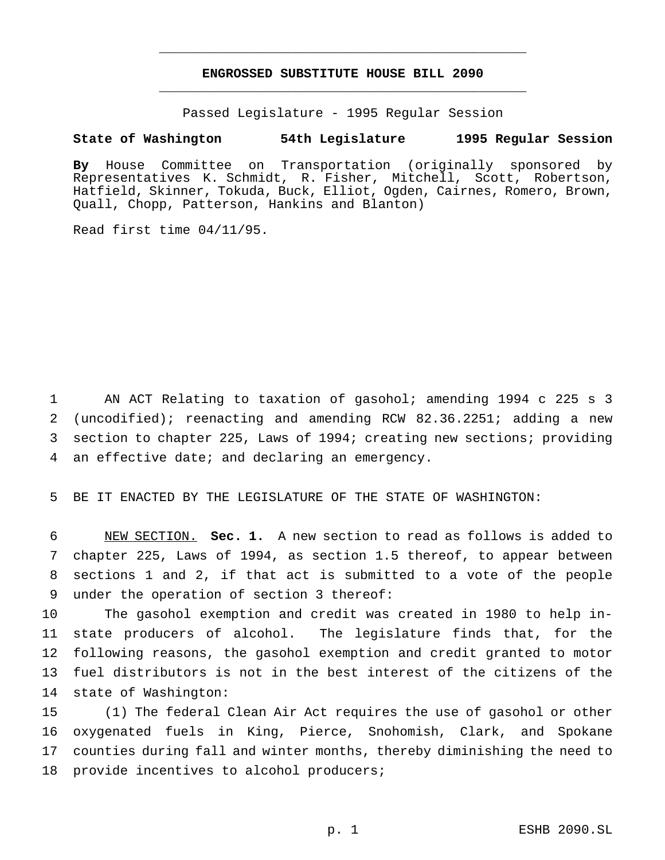# **ENGROSSED SUBSTITUTE HOUSE BILL 2090** \_\_\_\_\_\_\_\_\_\_\_\_\_\_\_\_\_\_\_\_\_\_\_\_\_\_\_\_\_\_\_\_\_\_\_\_\_\_\_\_\_\_\_\_\_\_\_

\_\_\_\_\_\_\_\_\_\_\_\_\_\_\_\_\_\_\_\_\_\_\_\_\_\_\_\_\_\_\_\_\_\_\_\_\_\_\_\_\_\_\_\_\_\_\_

Passed Legislature - 1995 Regular Session

## **State of Washington 54th Legislature 1995 Regular Session**

**By** House Committee on Transportation (originally sponsored by Representatives K. Schmidt, R. Fisher, Mitchell, Scott, Robertson, Hatfield, Skinner, Tokuda, Buck, Elliot, Ogden, Cairnes, Romero, Brown, Quall, Chopp, Patterson, Hankins and Blanton)

Read first time 04/11/95.

 AN ACT Relating to taxation of gasohol; amending 1994 c 225 s 3 (uncodified); reenacting and amending RCW 82.36.2251; adding a new section to chapter 225, Laws of 1994; creating new sections; providing an effective date; and declaring an emergency.

5 BE IT ENACTED BY THE LEGISLATURE OF THE STATE OF WASHINGTON:

 NEW SECTION. **Sec. 1.** A new section to read as follows is added to chapter 225, Laws of 1994, as section 1.5 thereof, to appear between sections 1 and 2, if that act is submitted to a vote of the people under the operation of section 3 thereof:

 The gasohol exemption and credit was created in 1980 to help in- state producers of alcohol. The legislature finds that, for the following reasons, the gasohol exemption and credit granted to motor fuel distributors is not in the best interest of the citizens of the state of Washington:

 (1) The federal Clean Air Act requires the use of gasohol or other oxygenated fuels in King, Pierce, Snohomish, Clark, and Spokane counties during fall and winter months, thereby diminishing the need to 18 provide incentives to alcohol producers;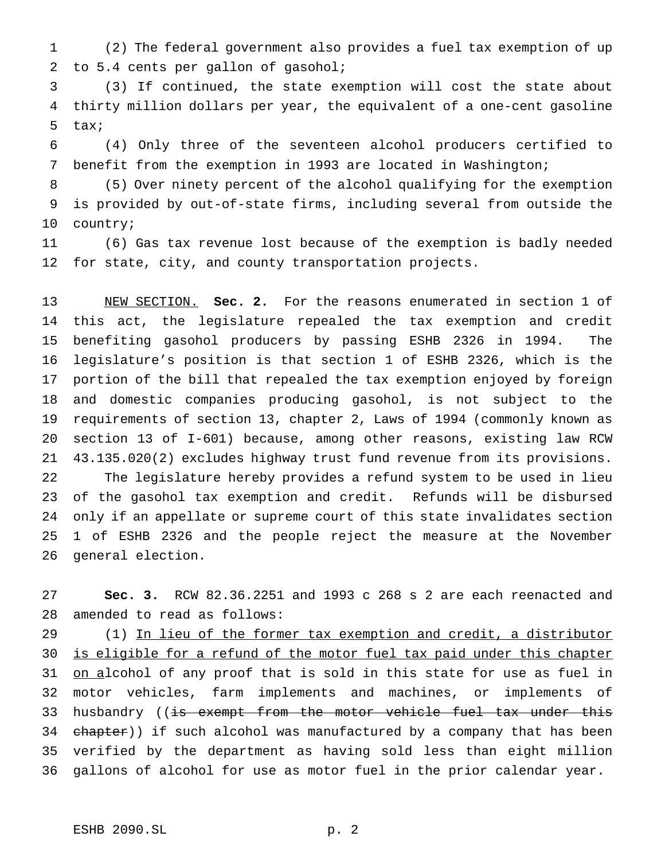(2) The federal government also provides a fuel tax exemption of up to 5.4 cents per gallon of gasohol;

 (3) If continued, the state exemption will cost the state about thirty million dollars per year, the equivalent of a one-cent gasoline tax;

 (4) Only three of the seventeen alcohol producers certified to benefit from the exemption in 1993 are located in Washington;

 (5) Over ninety percent of the alcohol qualifying for the exemption is provided by out-of-state firms, including several from outside the country;

 (6) Gas tax revenue lost because of the exemption is badly needed for state, city, and county transportation projects.

 NEW SECTION. **Sec. 2.** For the reasons enumerated in section 1 of this act, the legislature repealed the tax exemption and credit benefiting gasohol producers by passing ESHB 2326 in 1994. The legislature's position is that section 1 of ESHB 2326, which is the portion of the bill that repealed the tax exemption enjoyed by foreign and domestic companies producing gasohol, is not subject to the requirements of section 13, chapter 2, Laws of 1994 (commonly known as section 13 of I-601) because, among other reasons, existing law RCW 43.135.020(2) excludes highway trust fund revenue from its provisions. The legislature hereby provides a refund system to be used in lieu of the gasohol tax exemption and credit. Refunds will be disbursed only if an appellate or supreme court of this state invalidates section 1 of ESHB 2326 and the people reject the measure at the November general election.

 **Sec. 3.** RCW 82.36.2251 and 1993 c 268 s 2 are each reenacted and amended to read as follows:

29 (1) In lieu of the former tax exemption and credit, a distributor is eligible for a refund of the motor fuel tax paid under this chapter 31 on alcohol of any proof that is sold in this state for use as fuel in motor vehicles, farm implements and machines, or implements of 33 husbandry ((is exempt from the motor vehicle fuel tax under this 34 chapter)) if such alcohol was manufactured by a company that has been verified by the department as having sold less than eight million gallons of alcohol for use as motor fuel in the prior calendar year.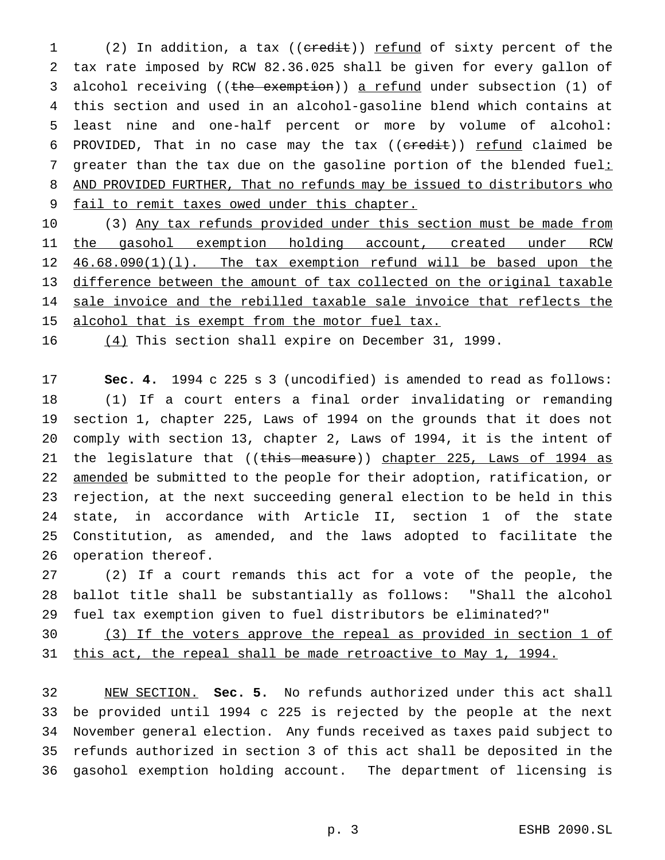1 (2) In addition, a tax ((eredit)) refund of sixty percent of the tax rate imposed by RCW 82.36.025 shall be given for every gallon of 3 alcohol receiving ((the exemption)) a refund under subsection (1) of this section and used in an alcohol-gasoline blend which contains at least nine and one-half percent or more by volume of alcohol: 6 PROVIDED, That in no case may the tax  $((\text{credit}))$  refund claimed be 7 greater than the tax due on the gasoline portion of the blended fuel: AND PROVIDED FURTHER, That no refunds may be issued to distributors who fail to remit taxes owed under this chapter.

10 (3) Any tax refunds provided under this section must be made from 11 the gasohol exemption holding account, created under RCW 12 46.68.090(1)(1). The tax exemption refund will be based upon the difference between the amount of tax collected on the original taxable 14 sale invoice and the rebilled taxable sale invoice that reflects the 15 alcohol that is exempt from the motor fuel tax.

(4) This section shall expire on December 31, 1999.

 **Sec. 4.** 1994 c 225 s 3 (uncodified) is amended to read as follows: (1) If a court enters a final order invalidating or remanding section 1, chapter 225, Laws of 1994 on the grounds that it does not comply with section 13, chapter 2, Laws of 1994, it is the intent of 21 the legislature that ((this measure)) chapter 225, Laws of 1994 as 22 amended be submitted to the people for their adoption, ratification, or rejection, at the next succeeding general election to be held in this state, in accordance with Article II, section 1 of the state Constitution, as amended, and the laws adopted to facilitate the operation thereof.

 (2) If a court remands this act for a vote of the people, the ballot title shall be substantially as follows: "Shall the alcohol fuel tax exemption given to fuel distributors be eliminated?"

 (3) If the voters approve the repeal as provided in section 1 of 31 this act, the repeal shall be made retroactive to May 1, 1994.

 NEW SECTION. **Sec. 5.** No refunds authorized under this act shall be provided until 1994 c 225 is rejected by the people at the next November general election. Any funds received as taxes paid subject to refunds authorized in section 3 of this act shall be deposited in the gasohol exemption holding account. The department of licensing is